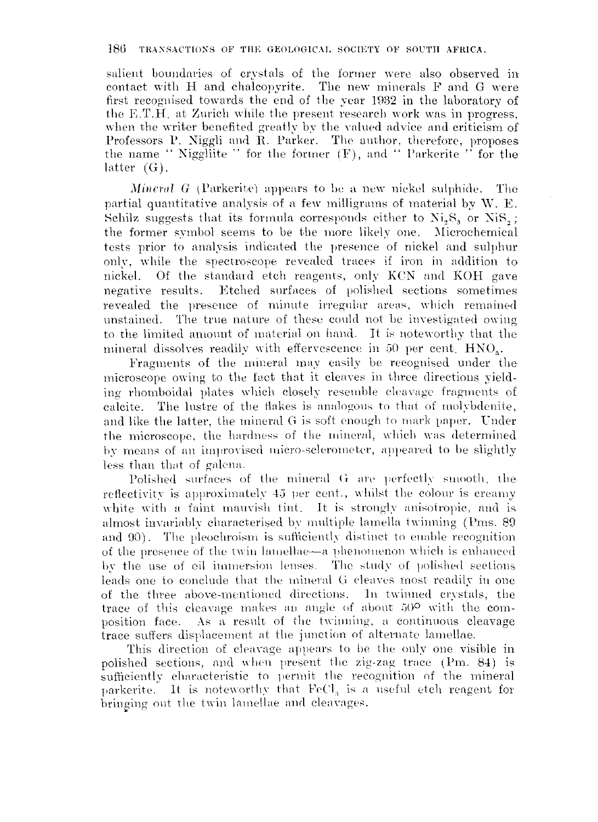## 186 TRANSACTIONS OF THE GEOLOGICAL SOCIETY OF SOUTH AFRICA.

salient boundaries of crystals of the former were also observed in contact with H and chalcopyrite, The new minerals F and G were first recognised towards the end of the year 1932 in the laboratory of the E,T.H, at Zurich while the present research work was in progress, when the writer benefited greatly by the valued advice and criticism of Professors P. Niggli and R. Parker. The author, therefore, proposes the name " Niggliite " for the former  $(F)$ , and " Parkerite " for the latter (G).

*Mineral G* (Parkerite) appears to be a new nickel sulphide. The partial quantitative analysis of a few milligrams of material by  $W$ . E. Schilz suggests that its formula corresponds either to  $Ni<sub>5</sub>S<sub>3</sub>$  or  $NiS<sub>5</sub>$ ; the former symbol seems to be the more likely one. Microchemical tests prior to analysis indicated the presence of nickel and sulphur only, \vhile the spectroscope revealed traces if iron in addition to nickel. Of the standard etch reagents, only KeN and KOH gave negative results. Etched surfaces of polished sections sometimes revealed the presence of minute irregular areas, which remained unstained. The true nature of these could not be investigated owing to the limited amount of material on hand. It is noteworthy that the mineral dissolves readily with effervescence in 50 per cent.  $HNO<sub>3</sub>$ .

Fragments of the mineral may easily be recognised under the microscope owing to the fact that it cleaves in three directions yielding rhornboidal plates which closely resemble cleavnge fragments of calcite. The lustre of the flakes is analogous to that of molybdenite, and like the latter, the mineral G is soft enough to mark paper. Under the microscope, the hardness of the mineral, which was determined by means of an improvised micro-sclerometer, appeared to be slightly less than that of galena.

Polished surfaces of the mineral  $G$  are perfectly smooth, the reflectivity is approximately 45 per cent., whilst the colour is creamy white with a faint mauvish tint. It is strongly anisotropic, and is almost invariably characterised by multiple lamella twinning (Pms. 89) and  $\vartheta$ ). The pleochroism is sufficiently distinct to enable recognition of the presence of the twin lamellae-a phenomenon which is enhanced by the use of oil immersion lenses. The study of polished sections leads one to conclude that the mineral G cleaves most readily in one of the three above-mentioned directions. In twinned crystals, the trace of this cleavage makes an angle of about  $50^{\circ}$  with the composition face. As a result of the twinning, a continuous cleavage trace suffers displacement at the junction of alternate lamellae.

This direction of cleavage appears to be the only one visible in polished sections, and when present the zig-zag trace (Pm, 84) is sufficiently characteristic to permit the recognition of the mineral parkerite. It is noteworthy that  $FeCl<sub>3</sub>$  is a useful etch reagent for bringing out the twin lamellae and cleavages.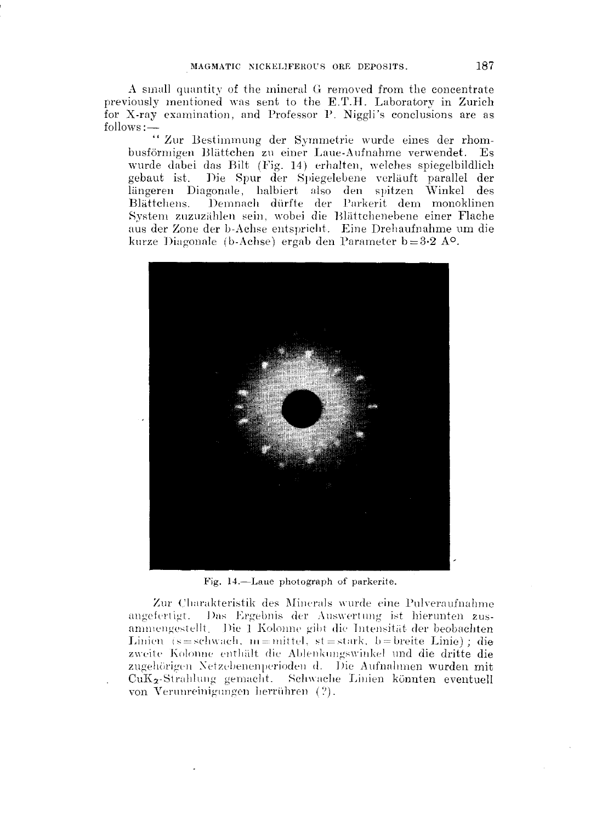A small quantity of the mineral G removed from the concentrate previously mentioned was sent to the E.T.H. Laboratory in Zurich for X-ray examination, and Professor P. Niggli's conclusions are as

follows:--<br>"Zur Bestimmung der Symmetrie wurde eines der rhombusförmigen Blättchen zu einer Laue-Aufnahme verwendet. Es wurde dabei das Bilt (Fig. 14) erhalten, welches spiegelbildlich gebaut ist. Die Spur der Spiegelebene verläuft parallel der längeren Diagonale, halbiert also den spitzen Winkel des Demnach dürfte der Parkerit dem monoklinen Blättchens. System zuzuzählen sein, wobei die Blättchenebene einer Flache aus der Zone der b-Achse entspricht. Eine Drehaufnahme um die kurze Diagonale (b-Achse) ergab den Parameter  $b=3.2 A^{\circ}$ .



Fig. 14.—Laue photograph of parkerite.

Zur Charakteristik des Minerals wurde eine Pulveraufnahme angefertigt. Das Ergebnis der Auswertung ist hierunten zusammengestellt. Die 1 Kolonne gibt die Intensität der beobachten Linien (s=schwach, m=mittel, st=stark, b=breite Linie); die zweite Kolonne enthält die Ablenkungswinkel und die dritte die zugehörigen Netzebenenperioden d. Die Aufnahmen wurden mit CuK<sub>z</sub>-Strahlung gemacht. Schwache Linien könnten eventuell von Verunreinigungen herrühren (?).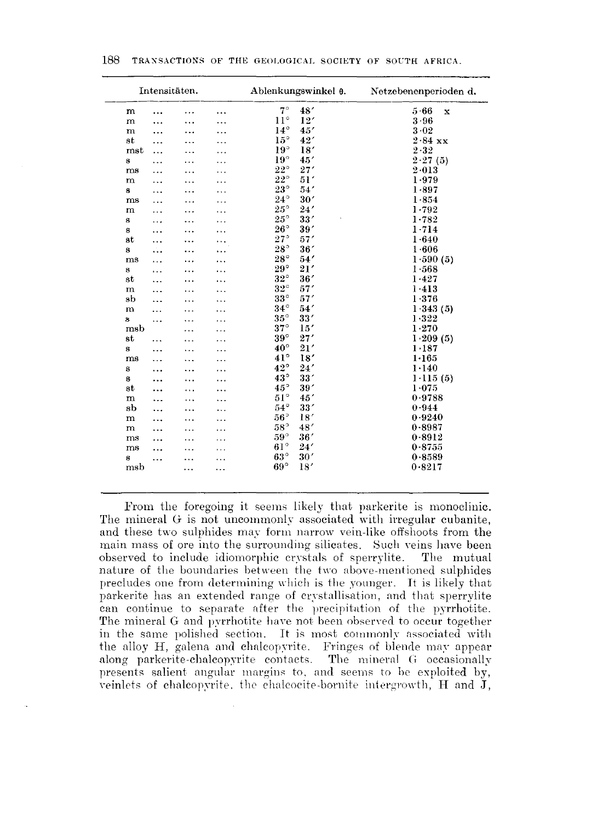|                 | Intensitäten. |           |          | Ablenkungswinkel 0. | Netzebenenperioden d. |  |  |  |
|-----------------|---------------|-----------|----------|---------------------|-----------------------|--|--|--|
| m               | .             | .         | .        | $7^\circ$<br>48'    | 5.66<br>$\mathbf x$   |  |  |  |
| $\mathbf{m}$    | .             | .         |          | $11^{\circ}$<br>12' | 3.96                  |  |  |  |
| $\mathbf{m}$    | .             | .         |          | $14^{\circ}$<br>45' | 3.02                  |  |  |  |
| st              |               |           |          | $15^{\circ}$<br>42' | $2.84$ xx             |  |  |  |
| mst             | $\cdots$      |           |          | $19^{\circ}$<br>18' | $2 - 32$              |  |  |  |
| s               | .             | $\ddotsc$ |          | $19^{\circ}$<br>45' | 2.27(5)               |  |  |  |
| ms              |               |           |          | $22^{\circ}$<br>27' | 2.013                 |  |  |  |
| ${\bf m}$       |               |           |          | $22^{\circ}$<br>51' | $1 - 979$             |  |  |  |
| s               | .             |           | $\cdots$ | $23^{\circ}$<br>54' | 1.897                 |  |  |  |
| ms              | .             |           |          | $24^{\circ}$<br>30' | 1.854                 |  |  |  |
| m               |               |           |          | $25^{\circ}$<br>24' | 1.792                 |  |  |  |
| s               | .             |           |          | $25^{\circ}$<br>33' | 1.782                 |  |  |  |
| s               | .             |           |          | $26^{\circ}$<br>39' | 1.714                 |  |  |  |
| $^{\rm st}$     | $\ddotsc$     |           | .        | 27°<br>57'          | 1.640                 |  |  |  |
| s               | ٠.,           | .         |          | $28^{\circ}$<br>36' | 1.606                 |  |  |  |
| ms              | .             | .         |          | $28^{\circ}$<br>54' | 1.590(5)              |  |  |  |
| S               | .             | $\cdot$   |          | $29^{\circ}$<br>21' | 1.568                 |  |  |  |
| st              |               |           |          | $32^{\circ}$<br>36' | 1.427                 |  |  |  |
| m               | .             |           |          | $32^{\circ}$<br>57' | 1.413                 |  |  |  |
| sb              |               |           |          | $33^\circ$<br>57'   | 1.376                 |  |  |  |
| m               | .             |           |          | $34^\circ$<br>54'   | 1.343(5)              |  |  |  |
| s               | $\ddotsc$     |           |          | $35^{\circ}$<br>33' | 1.322                 |  |  |  |
| msb             |               |           |          | $37^\circ$<br>15'   | 1.270                 |  |  |  |
| st              | .             |           |          | $39^\circ$<br>27'   | 1.209(5)              |  |  |  |
| s               |               |           |          | $40^{\circ}$<br>21' | 1.187                 |  |  |  |
| ms              |               |           |          | $41^\circ$<br>18'   | 1.165                 |  |  |  |
| s               | .             |           |          | $42^{\circ}$<br>24' | 1.140                 |  |  |  |
| s               |               | .         |          | $43^{\circ}$<br>33' | 1.115(5)              |  |  |  |
| st              | .             | .         |          | $45^{\circ}$<br>39' | 1.075                 |  |  |  |
| m               | .             | $\cdots$  |          | $51^{\circ}$<br>45' | 0.9788                |  |  |  |
| $_{\rm sb}$     | $\ddotsc$     | .         |          | $54^{\circ}$<br>33' | 0.944                 |  |  |  |
|                 | $\cdots$      | .         |          | $56^{\circ}$<br>18' | 0.9240                |  |  |  |
| m               | .             | .         |          | $58^{\circ}$<br>48' | 0.8987                |  |  |  |
| m               |               | .         |          | $59^{\circ}$<br>36' |                       |  |  |  |
| ms              |               |           |          | $61^{\circ}$<br>24' | 0.8912<br>0.8755      |  |  |  |
| ms              |               |           |          | $63^{\circ}$<br>30' |                       |  |  |  |
| s               | .             |           |          |                     | 0.8589                |  |  |  |
| m <sub>sb</sub> |               |           | .        | $69^\circ$<br>18'   | 0.8217                |  |  |  |
|                 |               |           |          |                     |                       |  |  |  |

.From the foregoing it seems likely that parkerite is monoclinic. The mineral G is not uncommonly associated with irregular cubanite, and these two sulphides may form narrow vein-like offshoots from the main mass of ore into the surrounding silicates. Such veins have been observed to include idiomorphic crystals of sperrylite. The mutual nature of the boundaries between the two above-mentioned sulphides precludes one from determining which is the younger. It is likely that parkerite has an extended range of crystallisation, and that sperrylite can continue to separate after the precipitation of the pyrrhotite. The mineral G and pyrrhotite have not been observed to occur together in the same polished section. It is most commonly associated with the alloy H, galena and chalcopyrite. Fringes of blende may appear along parkerite-chalcopyrite contacts. The mineral G occasionally presents salient angular margins to, and seems to he exploited by, veinlets of chalcopyrite, the chalcocite-bornite intergrowth, H and  $\tilde{\mathbf{J}}$ ,